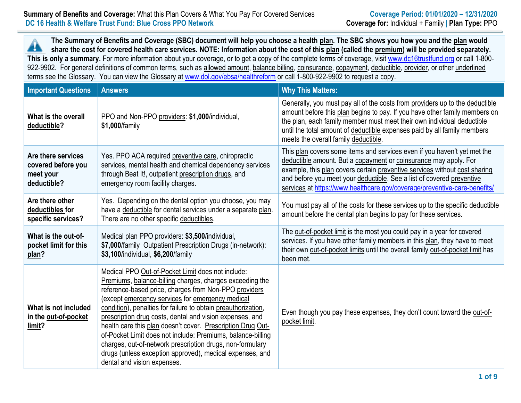## **Summary of Benefits and Coverage:** What this Plan Covers & What You Pay For Covered Services **Coverage Period: 01/01/2020 – 12/31/2020 DC 16 Health & Welfare Trust Fund: Blue Cross PPO Network Coverage for:** Individual + Family | **Plan Type:** PPO

**The Summary of Benefits and Coverage (SBC) document will help you choose a health plan. The SBC shows you how you and the plan would** Â **share the cost for covered health care services. NOTE: Information about the cost of this plan (called the premium) will be provided separately.** This is only a summary. For more information about your coverage, or to get a copy of the complete terms of coverage, visit [www.dc16trustfund.org](http://www.dc16trustfund.org/) or call 1-800-922-9902. For general definitions of common terms, such as allowed amount, balance billing, coinsurance, copayment, deductible, provider, or other underlined terms see the Glossary. You can view the Glossary at [www.dol.gov/ebsa/healthreform](file:///C:/NRPortbl/EAST/JLH/www.dol.gov/ebsa/healthreform) or call 1-800-922-9902 to request a copy.

| <b>Important Questions</b>                                           | <b>Answers</b>                                                                                                                                                                                                                                                                                                                                                                                                                                                                                                                                                                                                                                | <b>Why This Matters:</b>                                                                                                                                                                                                                                                                                                                                                         |
|----------------------------------------------------------------------|-----------------------------------------------------------------------------------------------------------------------------------------------------------------------------------------------------------------------------------------------------------------------------------------------------------------------------------------------------------------------------------------------------------------------------------------------------------------------------------------------------------------------------------------------------------------------------------------------------------------------------------------------|----------------------------------------------------------------------------------------------------------------------------------------------------------------------------------------------------------------------------------------------------------------------------------------------------------------------------------------------------------------------------------|
| What is the overall<br>deductible?                                   | PPO and Non-PPO providers: \$1,000/individual,<br>\$1,000/family                                                                                                                                                                                                                                                                                                                                                                                                                                                                                                                                                                              | Generally, you must pay all of the costs from providers up to the deductible<br>amount before this plan begins to pay. If you have other family members on<br>the plan, each family member must meet their own individual deductible<br>until the total amount of deductible expenses paid by all family members<br>meets the overall family deductible.                         |
| Are there services<br>covered before you<br>meet your<br>deductible? | Yes. PPO ACA required preventive care, chiropractic<br>services, mental health and chemical dependency services<br>through Beat It!, outpatient prescription drugs, and<br>emergency room facility charges.                                                                                                                                                                                                                                                                                                                                                                                                                                   | This plan covers some items and services even if you haven't yet met the<br>deductible amount. But a copayment or coinsurance may apply. For<br>example, this plan covers certain preventive services without cost sharing<br>and before you meet your deductible. See a list of covered preventive<br>services at https://www.healthcare.gov/coverage/preventive-care-benefits/ |
| Are there other<br>deductibles for<br>specific services?             | Yes. Depending on the dental option you choose, you may<br>have a deductible for dental services under a separate plan.<br>There are no other specific deductibles.                                                                                                                                                                                                                                                                                                                                                                                                                                                                           | You must pay all of the costs for these services up to the specific deductible<br>amount before the dental plan begins to pay for these services.                                                                                                                                                                                                                                |
| What is the out-of-<br>pocket limit for this<br>plan?                | Medical plan PPO providers: \$3,500/individual,<br>\$7,000/family Outpatient Prescription Drugs (in-network):<br>\$3,100/individual, \$6,200/family                                                                                                                                                                                                                                                                                                                                                                                                                                                                                           | The out-of-pocket limit is the most you could pay in a year for covered<br>services. If you have other family members in this plan, they have to meet<br>their own out-of-pocket limits until the overall family out-of-pocket limit has<br>been met.                                                                                                                            |
| What is not included<br>in the out-of-pocket<br>limit?               | Medical PPO Out-of-Pocket Limit does not include:<br>Premiums, balance-billing charges, charges exceeding the<br>reference-based price, charges from Non-PPO providers<br>(except emergency services for emergency medical<br>condition), penalties for failure to obtain preauthorization,<br>prescription drug costs, dental and vision expenses, and<br>health care this plan doesn't cover. Prescription Drug Out-<br>of-Pocket Limit does not include: Premiums, balance-billing<br>charges, out-of-network prescription drugs, non-formulary<br>drugs (unless exception approved), medical expenses, and<br>dental and vision expenses. | Even though you pay these expenses, they don't count toward the out-of-<br>pocket limit.                                                                                                                                                                                                                                                                                         |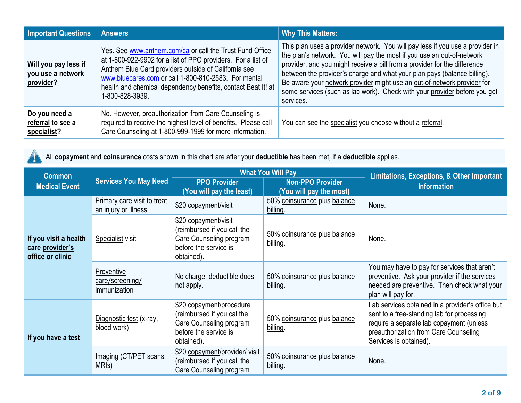| <b>Important Questions</b>                             | <b>Answers</b>                                                                                                                                                                                                                                                                                                              | <b>Why This Matters:</b>                                                                                                                                                                                                                                                                                                                                                                                                                                                              |
|--------------------------------------------------------|-----------------------------------------------------------------------------------------------------------------------------------------------------------------------------------------------------------------------------------------------------------------------------------------------------------------------------|---------------------------------------------------------------------------------------------------------------------------------------------------------------------------------------------------------------------------------------------------------------------------------------------------------------------------------------------------------------------------------------------------------------------------------------------------------------------------------------|
| Will you pay less if<br>you use a network<br>provider? | Yes. See www.anthem.com/ca or call the Trust Fund Office<br>at 1-800-922-9902 for a list of PPO providers. For a list of<br>Anthem Blue Card providers outside of California see<br>www.bluecares.com or call 1-800-810-2583. For mental<br>health and chemical dependency benefits, contact Beat It! at<br>1-800-828-3939. | This plan uses a provider network. You will pay less if you use a provider in<br>the plan's network. You will pay the most if you use an out-of-network<br>provider, and you might receive a bill from a provider for the difference<br>between the provider's charge and what your plan pays (balance billing).<br>Be aware your network provider might use an out-of-network provider for<br>some services (such as lab work). Check with your provider before you get<br>services. |
| Do you need a<br>referral to see a<br>specialist?      | No. However, preauthorization from Care Counseling is<br>required to receive the highest level of benefits. Please call<br>Care Counseling at 1-800-999-1999 for more information.                                                                                                                                          | You can see the specialist you choose without a referral.                                                                                                                                                                                                                                                                                                                                                                                                                             |

All **copayment** and **coinsurance** costs shown in this chart are after your **deductible** has been met, if a **deductible** applies. A

| <b>Common</b>                                                |                                                     |                                                                                                                          | <b>What You Will Pay</b>                           | <b>Limitations, Exceptions, &amp; Other Important</b><br><b>Information</b>                                                                                                                                   |  |
|--------------------------------------------------------------|-----------------------------------------------------|--------------------------------------------------------------------------------------------------------------------------|----------------------------------------------------|---------------------------------------------------------------------------------------------------------------------------------------------------------------------------------------------------------------|--|
| <b>Medical Event</b>                                         | <b>Services You May Need</b>                        | <b>PPO Provider</b><br>(You will pay the least)                                                                          | <b>Non-PPO Provider</b><br>(You will pay the most) |                                                                                                                                                                                                               |  |
|                                                              | Primary care visit to treat<br>an injury or illness | \$20 copayment/visit                                                                                                     | 50% coinsurance plus balance<br>billing.           | None.                                                                                                                                                                                                         |  |
| If you visit a health<br>care provider's<br>office or clinic | <b>Specialist visit</b>                             | \$20 copayment/visit<br>(reimbursed if you call the<br>Care Counseling program<br>before the service is<br>obtained).    | 50% coinsurance plus balance<br>billing.           | None.                                                                                                                                                                                                         |  |
|                                                              | Preventive<br>care/screening/<br>immunization       | No charge, deductible does<br>not apply.                                                                                 | 50% coinsurance plus balance<br>billing.           | You may have to pay for services that aren't<br>preventive. Ask your provider if the services<br>needed are preventive. Then check what your<br>plan will pay for.                                            |  |
| If you have a test                                           | Diagnostic test (x-ray,<br>blood work)              | \$20 copayment/procedure<br>(reimbursed if you cal the<br>Care Counseling program<br>before the service is<br>obtained). | 50% coinsurance plus balance<br>billing.           | Lab services obtained in a provider's office but<br>sent to a free-standing lab for processing<br>require a separate lab copayment (unless<br>preauthorization from Care Counseling<br>Services is obtained). |  |
|                                                              | Imaging (CT/PET scans,<br>MRIs)                     | \$20 copayment/provider/ visit<br>(reimbursed if you call the<br>Care Counseling program                                 | 50% coinsurance plus balance<br>billing.           | None.                                                                                                                                                                                                         |  |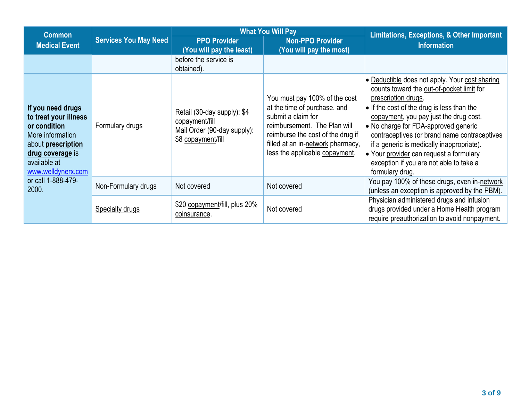| <b>Common</b>                                                                                                                                                         |                                    |                                                                                                    | <b>What You Will Pay</b>                                                                                                                                                                                                        | <b>Limitations, Exceptions, &amp; Other Important</b>                                                                                                                                                                                                                                                                                                                                                                                                            |
|-----------------------------------------------------------------------------------------------------------------------------------------------------------------------|------------------------------------|----------------------------------------------------------------------------------------------------|---------------------------------------------------------------------------------------------------------------------------------------------------------------------------------------------------------------------------------|------------------------------------------------------------------------------------------------------------------------------------------------------------------------------------------------------------------------------------------------------------------------------------------------------------------------------------------------------------------------------------------------------------------------------------------------------------------|
| <b>Medical Event</b>                                                                                                                                                  | <b>Services You May Need</b>       | <b>PPO Provider</b><br>(You will pay the least)                                                    | <b>Non-PPO Provider</b><br>(You will pay the most)                                                                                                                                                                              | <b>Information</b>                                                                                                                                                                                                                                                                                                                                                                                                                                               |
|                                                                                                                                                                       |                                    | before the service is<br>obtained).                                                                |                                                                                                                                                                                                                                 |                                                                                                                                                                                                                                                                                                                                                                                                                                                                  |
| If you need drugs<br>to treat your illness<br>or condition<br>More information<br>about <b>prescription</b><br>drug coverage is<br>available at<br>www.welldynerx.com | Formulary drugs                    | Retail (30-day supply): \$4<br>copayment/fill<br>Mail Order (90-day supply):<br>\$8 copayment/fill | You must pay 100% of the cost<br>at the time of purchase, and<br>submit a claim for<br>reimbursement. The Plan will<br>reimburse the cost of the drug if<br>filled at an in-network pharmacy,<br>less the applicable copayment. | • Deductible does not apply. Your cost sharing<br>counts toward the out-of-pocket limit for<br>prescription drugs.<br>$\bullet$ If the cost of the drug is less than the<br>copayment, you pay just the drug cost.<br>• No charge for FDA-approved generic<br>contraceptives (or brand name contraceptives<br>if a generic is medically inappropriate).<br>• Your provider can request a formulary<br>exception if you are not able to take a<br>formulary drug. |
| or call 1-888-479-<br>2000.                                                                                                                                           | Non-Formulary drugs<br>Not covered |                                                                                                    | Not covered                                                                                                                                                                                                                     | You pay 100% of these drugs, even in-network<br>(unless an exception is approved by the PBM).                                                                                                                                                                                                                                                                                                                                                                    |
|                                                                                                                                                                       | <b>Specialty drugs</b>             | \$20 copayment/fill, plus 20%<br>coinsurance.                                                      | Not covered                                                                                                                                                                                                                     | Physician administered drugs and infusion<br>drugs provided under a Home Health program<br>require preauthorization to avoid nonpayment.                                                                                                                                                                                                                                                                                                                         |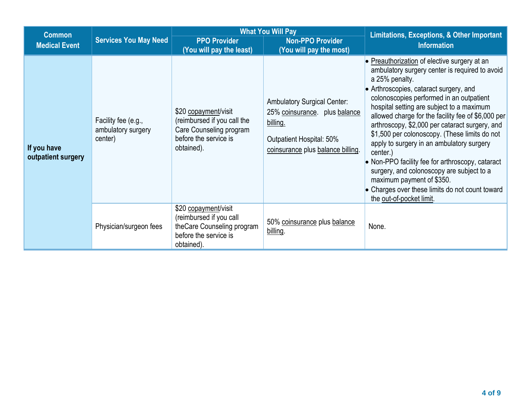| <b>Common</b>                                        |                                                      |                                                                                                                       | <b>What You Will Pay</b>                                                                                                                         | <b>Limitations, Exceptions, &amp; Other Important</b>                                                                                                                                                                                                                                                                                                                                                                                                                                                                                                                                                                                                                            |  |
|------------------------------------------------------|------------------------------------------------------|-----------------------------------------------------------------------------------------------------------------------|--------------------------------------------------------------------------------------------------------------------------------------------------|----------------------------------------------------------------------------------------------------------------------------------------------------------------------------------------------------------------------------------------------------------------------------------------------------------------------------------------------------------------------------------------------------------------------------------------------------------------------------------------------------------------------------------------------------------------------------------------------------------------------------------------------------------------------------------|--|
| <b>Services You May Need</b><br><b>Medical Event</b> |                                                      | <b>PPO Provider</b><br>(You will pay the least)                                                                       | <b>Non-PPO Provider</b><br>(You will pay the most)                                                                                               | <b>Information</b>                                                                                                                                                                                                                                                                                                                                                                                                                                                                                                                                                                                                                                                               |  |
| If you have<br>outpatient surgery                    | Facility fee (e.g.,<br>ambulatory surgery<br>center) | \$20 copayment/visit<br>(reimbursed if you call the<br>Care Counseling program<br>before the service is<br>obtained). | <b>Ambulatory Surgical Center:</b><br>25% coinsurance. plus balance<br>billing.<br>Outpatient Hospital: 50%<br>coinsurance plus balance billing. | • Preauthorization of elective surgery at an<br>ambulatory surgery center is required to avoid<br>a 25% penalty.<br>• Arthroscopies, cataract surgery, and<br>colonoscopies performed in an outpatient<br>hospital setting are subject to a maximum<br>allowed charge for the facility fee of \$6,000 per<br>arthroscopy, \$2,000 per cataract surgery, and<br>\$1,500 per colonoscopy. (These limits do not<br>apply to surgery in an ambulatory surgery<br>center.)<br>• Non-PPO facility fee for arthroscopy, cataract<br>surgery, and colonoscopy are subject to a<br>maximum payment of \$350.<br>Charges over these limits do not count toward<br>the out-of-pocket limit. |  |
|                                                      | Physician/surgeon fees                               | \$20 copayment/visit<br>(reimbursed if you call<br>theCare Counseling program<br>before the service is<br>obtained).  | 50% coinsurance plus balance<br>billing.                                                                                                         | None.                                                                                                                                                                                                                                                                                                                                                                                                                                                                                                                                                                                                                                                                            |  |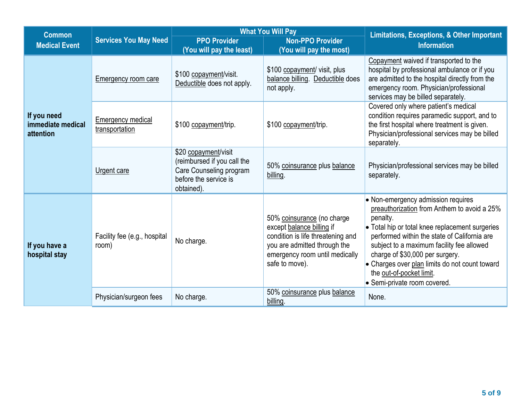| <b>What You Will Pay</b><br><b>Common</b>     |                                       |                                                                                                                       |                                                                                                                                                                                  | <b>Limitations, Exceptions, &amp; Other Important</b>                                                                                                                                                                                                                                                                                                                                          |  |
|-----------------------------------------------|---------------------------------------|-----------------------------------------------------------------------------------------------------------------------|----------------------------------------------------------------------------------------------------------------------------------------------------------------------------------|------------------------------------------------------------------------------------------------------------------------------------------------------------------------------------------------------------------------------------------------------------------------------------------------------------------------------------------------------------------------------------------------|--|
| <b>Medical Event</b>                          | <b>Services You May Need</b>          | <b>PPO Provider</b><br>(You will pay the least)                                                                       | <b>Non-PPO Provider</b><br>(You will pay the most)                                                                                                                               | <b>Information</b>                                                                                                                                                                                                                                                                                                                                                                             |  |
|                                               | Emergency room care                   | \$100 copayment/visit.<br>Deductible does not apply.                                                                  | \$100 copayment/ visit, plus<br>balance billing. Deductible does<br>not apply.                                                                                                   | Copayment waived if transported to the<br>hospital by professional ambulance or if you<br>are admitted to the hospital directly from the<br>emergency room. Physician/professional<br>services may be billed separately.                                                                                                                                                                       |  |
| If you need<br>immediate medical<br>attention | Emergency medical<br>transportation   | \$100 copayment/trip.                                                                                                 | \$100 copayment/trip.                                                                                                                                                            | Covered only where patient's medical<br>condition requires paramedic support, and to<br>the first hospital where treatment is given.<br>Physician/professional services may be billed<br>separately.                                                                                                                                                                                           |  |
|                                               | Urgent care                           | \$20 copayment/visit<br>(reimbursed if you call the<br>Care Counseling program<br>before the service is<br>obtained). | 50% coinsurance plus balance<br>billing.                                                                                                                                         | Physician/professional services may be billed<br>separately.                                                                                                                                                                                                                                                                                                                                   |  |
| If you have a<br>hospital stay                | Facility fee (e.g., hospital<br>room) | No charge.                                                                                                            | 50% coinsurance (no charge<br>except balance billing if<br>condition is life threatening and<br>you are admitted through the<br>emergency room until medically<br>safe to move). | • Non-emergency admission requires<br>preauthorization from Anthem to avoid a 25%<br>penalty.<br>• Total hip or total knee replacement surgeries<br>performed within the state of California are<br>subject to a maximum facility fee allowed<br>charge of \$30,000 per surgery.<br>• Charges over plan limits do not count toward<br>the out-of-pocket limit.<br>• Semi-private room covered. |  |
|                                               | Physician/surgeon fees                | No charge.                                                                                                            | 50% coinsurance plus balance<br>billing.                                                                                                                                         | None.                                                                                                                                                                                                                                                                                                                                                                                          |  |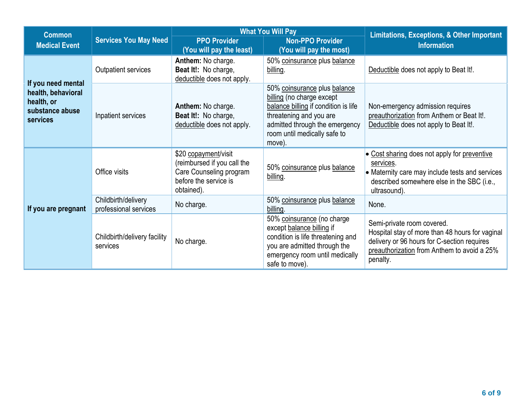| <b>Common</b>                                                   |                                                        |                                                                                                                                                                                  | <b>What You Will Pay</b>                                                                                                                                                                                 | <b>Limitations, Exceptions, &amp; Other Important</b><br><b>Information</b>                                                                                                |  |
|-----------------------------------------------------------------|--------------------------------------------------------|----------------------------------------------------------------------------------------------------------------------------------------------------------------------------------|----------------------------------------------------------------------------------------------------------------------------------------------------------------------------------------------------------|----------------------------------------------------------------------------------------------------------------------------------------------------------------------------|--|
| <b>Medical Event</b>                                            | <b>Services You May Need</b>                           | <b>PPO Provider</b><br>(You will pay the least)                                                                                                                                  | <b>Non-PPO Provider</b><br>(You will pay the most)                                                                                                                                                       |                                                                                                                                                                            |  |
| If you need mental                                              | Outpatient services                                    | Anthem: No charge.<br>Beat It!: No charge,<br>deductible does not apply.                                                                                                         | 50% coinsurance plus balance<br>billing.                                                                                                                                                                 | Deductible does not apply to Beat It!.                                                                                                                                     |  |
| health, behavioral<br>health, or<br>substance abuse<br>services | Inpatient services                                     | Anthem: No charge.<br>Beat It!: No charge,<br>deductible does not apply.                                                                                                         | 50% coinsurance plus balance<br>billing (no charge except<br>balance billing if condition is life<br>threatening and you are<br>admitted through the emergency<br>room until medically safe to<br>move). | Non-emergency admission requires<br>preauthorization from Anthem or Beat It!.<br>Deductible does not apply to Beat It!.                                                    |  |
|                                                                 | Office visits                                          | \$20 copayment/visit<br>(reimbursed if you call the<br>Care Counseling program<br>before the service is<br>obtained).                                                            | 50% coinsurance plus balance<br>billing.                                                                                                                                                                 | • Cost sharing does not apply for preventive<br>services.<br>• Maternity care may include tests and services<br>described somewhere else in the SBC (i.e.,<br>ultrasound). |  |
| If you are pregnant                                             | Childbirth/delivery<br>professional services           | No charge.                                                                                                                                                                       | 50% coinsurance plus balance<br>billing.                                                                                                                                                                 | None.                                                                                                                                                                      |  |
|                                                                 | Childbirth/delivery facility<br>No charge.<br>services | 50% coinsurance (no charge<br>except balance billing if<br>condition is life threatening and<br>you are admitted through the<br>emergency room until medically<br>safe to move). | Semi-private room covered.<br>Hospital stay of more than 48 hours for vaginal<br>delivery or 96 hours for C-section requires<br>preauthorization from Anthem to avoid a 25%<br>penalty.                  |                                                                                                                                                                            |  |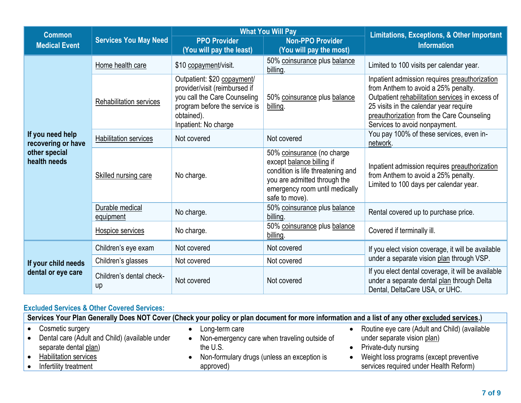| <b>Common</b>                          | <b>Services You May Need</b>       |                                                                                                                                                                     | <b>What You Will Pay</b>                                                                                                                                                         | <b>Limitations, Exceptions, &amp; Other Important</b>                                                                                                                                                                                                           |  |
|----------------------------------------|------------------------------------|---------------------------------------------------------------------------------------------------------------------------------------------------------------------|----------------------------------------------------------------------------------------------------------------------------------------------------------------------------------|-----------------------------------------------------------------------------------------------------------------------------------------------------------------------------------------------------------------------------------------------------------------|--|
| <b>Medical Event</b>                   |                                    | <b>PPO Provider</b>                                                                                                                                                 | <b>Non-PPO Provider</b>                                                                                                                                                          | <b>Information</b>                                                                                                                                                                                                                                              |  |
|                                        |                                    | (You will pay the least)                                                                                                                                            | (You will pay the most)                                                                                                                                                          |                                                                                                                                                                                                                                                                 |  |
|                                        | Home health care                   | \$10 copayment/visit.                                                                                                                                               | 50% coinsurance plus balance<br>billing.                                                                                                                                         | Limited to 100 visits per calendar year.                                                                                                                                                                                                                        |  |
|                                        | <b>Rehabilitation services</b>     | Outpatient: \$20 copayment/<br>provider/visit (reimbursed if<br>you call the Care Counseling<br>program before the service is<br>obtained).<br>Inpatient: No charge | 50% coinsurance plus balance<br>billing.                                                                                                                                         | Inpatient admission requires preauthorization<br>from Anthem to avoid a 25% penalty.<br>Outpatient rehabilitation services in excess of<br>25 visits in the calendar year require<br>preauthorization from the Care Counseling<br>Services to avoid nonpayment. |  |
| If you need help<br>recovering or have | <b>Habilitation services</b>       | Not covered                                                                                                                                                         | Not covered                                                                                                                                                                      | You pay 100% of these services, even in-<br>network.                                                                                                                                                                                                            |  |
| other special<br>health needs          | Skilled nursing care               | No charge.                                                                                                                                                          | 50% coinsurance (no charge<br>except balance billing if<br>condition is life threatening and<br>you are admitted through the<br>emergency room until medically<br>safe to move). | Inpatient admission requires preauthorization<br>from Anthem to avoid a 25% penalty.<br>Limited to 100 days per calendar year.                                                                                                                                  |  |
|                                        | Durable medical<br>equipment       | No charge.                                                                                                                                                          | 50% coinsurance plus balance<br>billing.                                                                                                                                         | Rental covered up to purchase price.                                                                                                                                                                                                                            |  |
|                                        | Hospice services                   | No charge.                                                                                                                                                          | 50% coinsurance plus balance<br>billing.                                                                                                                                         | Covered if terminally ill.                                                                                                                                                                                                                                      |  |
|                                        | Children's eye exam<br>Not covered |                                                                                                                                                                     | Not covered                                                                                                                                                                      | If you elect vision coverage, it will be available                                                                                                                                                                                                              |  |
| If your child needs                    | Children's glasses                 | Not covered                                                                                                                                                         | Not covered                                                                                                                                                                      | under a separate vision plan through VSP.                                                                                                                                                                                                                       |  |
| dental or eye care                     | Children's dental check-<br>up     | Not covered                                                                                                                                                         | Not covered                                                                                                                                                                      | If you elect dental coverage, it will be available<br>under a separate dental plan through Delta<br>Dental, DeltaCare USA, or UHC.                                                                                                                              |  |

# **Excluded Services & Other Covered Services:**

| Services Your Plan Generally Does NOT Cover (Check your policy or plan document for more information and a list of any other excluded services.) |  |                                              |  |                                               |  |
|--------------------------------------------------------------------------------------------------------------------------------------------------|--|----------------------------------------------|--|-----------------------------------------------|--|
| Cosmetic surgery                                                                                                                                 |  | Long-term care                               |  | Routine eye care (Adult and Child) (available |  |
| Dental care (Adult and Child) (available under                                                                                                   |  | Non-emergency care when traveling outside of |  | under separate vision plan)                   |  |
| separate dental plan)                                                                                                                            |  | the U.S.                                     |  | Private-duty nursing                          |  |
| Habilitation services                                                                                                                            |  | Non-formulary drugs (unless an exception is  |  | Weight loss programs (except preventive       |  |
| Infertility treatment                                                                                                                            |  | approved)                                    |  | services required under Health Reform)        |  |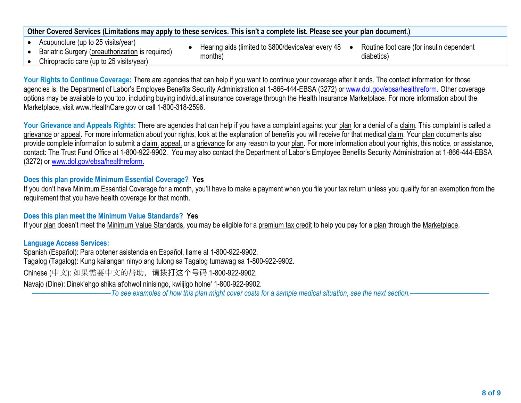## **Other Covered Services (Limitations may apply to these services. This isn't a complete list. Please see your plan document.)**

- Acupuncture (up to 25 visits/year)
- Bariatric Surgery (preauthorization is required)
- Hearing aids (limited to \$800/device/ear every 48 months) • Routine foot care (for insulin dependent diabetics)
- Chiropractic care (up to 25 visits/year)

Your Rights to Continue Coverage: There are agencies that can help if you want to continue your coverage after it ends. The contact information for those agencies is: the Department of Labor's Employee Benefits Security Administration at 1-866-444-EBSA (3272) or [www.dol.gov/ebsa/healthreform.](file:///C:/NRPortbl/EAST/JLH/www.dol.gov/ebsa/healthreform) Other coverage options may be available to you too, including buying individual insurance coverage through the Health Insurance Marketplace. For more information about the Marketplace, visit www.HealthCare.gov or call 1-800-318-2596.

Your Grievance and Appeals Rights: There are agencies that can help if you have a complaint against your plan for a denial of a claim. This complaint is called a grievance or appeal. For more information about your rights, look at the explanation of benefits you will receive for that medical claim. Your plan documents also provide complete information to submit a claim, appeal, or a grievance for any reason to your plan. For more information about your rights, this notice, or assistance, contact: The Trust Fund Office at 1-800-922-9902. You may also contact the Department of Labor's Employee Benefits Security Administration at 1-866-444-EBSA (3272) or [www.dol.gov/ebsa/healthreform.](file:///C:/NRPortbl/EAST/JLH/www.dol.gov/ebsa/healthreform)

## **Does this plan provide Minimum Essential Coverage? Yes**

If you don't have Minimum Essential Coverage for a month, you'll have to make a payment when you file your tax return unless you qualify for an exemption from the requirement that you have health coverage for that month.

## **Does this plan meet the Minimum Value Standards? Yes**

If your plan doesn't meet the Minimum Value Standards, you may be eligible for a premium tax credit to help you pay for a plan through the Marketplace.

## **Language Access Services:**

Spanish (Español): Para obtener asistencia en Español, llame al 1-800-922-9902. Tagalog (Tagalog): Kung kailangan ninyo ang tulong sa Tagalog tumawag sa 1-800-922-9902. Chinese (中文): 如果需要中文的帮助,请拨打这个号码 1-800-922-9902. Navajo (Dine): Dinek'ehgo shika at'ohwol ninisingo, kwiijigo holne' 1-800-922-9902.

––––––––––––––––––––––*To see examples of how this plan might cover costs for a sample medical situation, see the next section.–––––––––––*–––––––––––